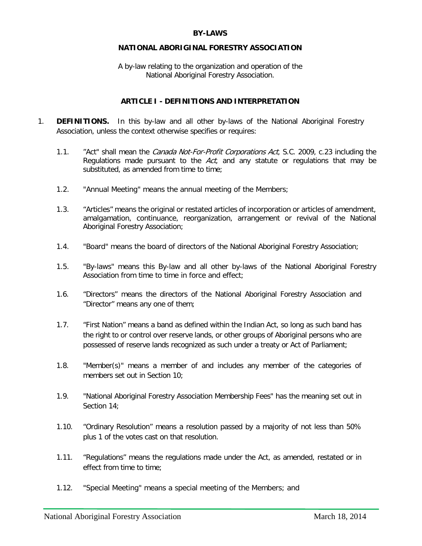#### **BY-LAWS**

#### **NATIONAL ABORIGINAL FORESTRY ASSOCIATION**

A by-law relating to the organization and operation of the National Aboriginal Forestry Association.

#### **ARTICLE I - DEFINITIONS AND INTERPRETATION**

- 1. **DEFINITIONS.** In this by-law and all other by-laws of the National Aboriginal Forestry Association, unless the context otherwise specifies or requires:
	- 1.1. "Act" shall mean the *Canada Not-For-Profit Corporations Act*, S.C. 2009, c.23 including the Regulations made pursuant to the  $Act$ , and any statute or regulations that may be substituted, as amended from time to time;
	- 1.2. "Annual Meeting" means the annual meeting of the Members;
	- 1.3. "Articles" means the original or restated articles of incorporation or articles of amendment, amalgamation, continuance, reorganization, arrangement or revival of the National Aboriginal Forestry Association;
	- 1.4. "Board" means the board of directors of the National Aboriginal Forestry Association;
	- 1.5. "By-laws" means this By-law and all other by-laws of the National Aboriginal Forestry Association from time to time in force and effect;
	- 1.6. "Directors" means the directors of the National Aboriginal Forestry Association and "Director" means any one of them;
	- 1.7. "First Nation" means a band as defined within the Indian Act, so long as such band has the right to or control over reserve lands, or other groups of Aboriginal persons who are possessed of reserve lands recognized as such under a treaty or Act of Parliament;
	- 1.8. "Member(s)" means a member of and includes any member of the categories of members set out in Section 10;
	- 1.9. "National Aboriginal Forestry Association Membership Fees" has the meaning set out in Section 14;
	- 1.10. "Ordinary Resolution" means a resolution passed by a majority of not less than 50% plus 1 of the votes cast on that resolution.
	- 1.11. "Regulations" means the regulations made under the Act, as amended, restated or in effect from time to time;
	- 1.12. "Special Meeting" means a special meeting of the Members; and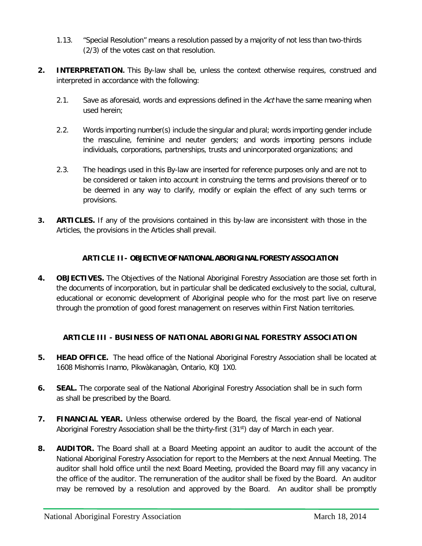- 1.13. "Special Resolution" means a resolution passed by a majority of not less than two-thirds (2/3) of the votes cast on that resolution.
- **2. INTERPRETATION.** This By-law shall be, unless the context otherwise requires, construed and interpreted in accordance with the following:
	- 2.1. Save as aforesaid, words and expressions defined in the Act have the same meaning when used herein;
	- 2.2. Words importing number(s) include the singular and plural; words importing gender include the masculine, feminine and neuter genders; and words importing persons include individuals, corporations, partnerships, trusts and unincorporated organizations; and
	- 2.3. The headings used in this By-law are inserted for reference purposes only and are not to be considered or taken into account in construing the terms and provisions thereof or to be deemed in any way to clarify, modify or explain the effect of any such terms or provisions.
- **3. ARTICLES.** If any of the provisions contained in this by-law are inconsistent with those in the Articles, the provisions in the Articles shall prevail.

### **ARTICLE II- OBJECTIVE OF NATIONAL ABORIGINAL FORESTY ASSOCIATION**

**4. OBJECTIVES.** The Objectives of the National Aboriginal Forestry Association are those set forth in the documents of incorporation, but in particular shall be dedicated exclusively to the social, cultural, educational or economic development of Aboriginal people who for the most part live on reserve through the promotion of good forest management on reserves within First Nation territories.

## **ARTICLE III - BUSINESS OF NATIONAL ABORIGINAL FORESTRY ASSOCIATION**

- **5. HEAD OFFICE.** The head office of the National Aboriginal Forestry Association shall be located at 1608 Mishomis Inamo, Pikwàkanagàn, Ontario, K0J 1X0.
- **6. SEAL.** The corporate seal of the National Aboriginal Forestry Association shall be in such form as shall be prescribed by the Board.
- **7. FINANCIAL YEAR.** Unless otherwise ordered by the Board, the fiscal year-end of National Aboriginal Forestry Association shall be the thirty-first (31<sup>st</sup>) day of March in each year.
- **8. AUDITOR.** The Board shall at a Board Meeting appoint an auditor to audit the account of the National Aboriginal Forestry Association for report to the Members at the next Annual Meeting. The auditor shall hold office until the next Board Meeting, provided the Board may fill any vacancy in the office of the auditor. The remuneration of the auditor shall be fixed by the Board. An auditor may be removed by a resolution and approved by the Board. An auditor shall be promptly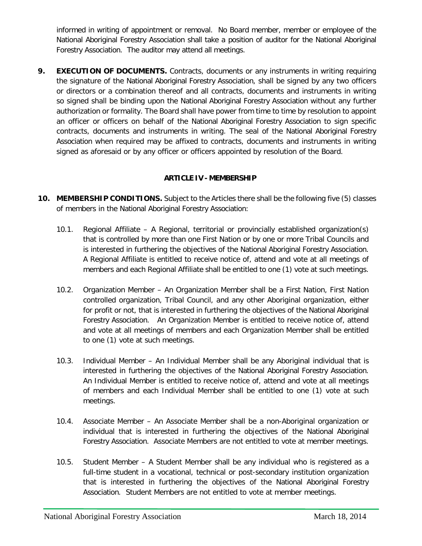informed in writing of appointment or removal. No Board member, member or employee of the National Aboriginal Forestry Association shall take a position of auditor for the National Aboriginal Forestry Association. The auditor may attend all meetings.

**9. EXECUTION OF DOCUMENTS.** Contracts, documents or any instruments in writing requiring the signature of the National Aboriginal Forestry Association, shall be signed by any two officers or directors or a combination thereof and all contracts, documents and instruments in writing so signed shall be binding upon the National Aboriginal Forestry Association without any further authorization or formality. The Board shall have power from time to time by resolution to appoint an officer or officers on behalf of the National Aboriginal Forestry Association to sign specific contracts, documents and instruments in writing. The seal of the National Aboriginal Forestry Association when required may be affixed to contracts, documents and instruments in writing signed as aforesaid or by any officer or officers appointed by resolution of the Board.

## **ARTICLE IV - MEMBERSHIP**

- **10. MEMBERSHIP CONDITIONS.** Subject to the Articles there shall be the following five (5) classes of members in the National Aboriginal Forestry Association:
	- 10.1. Regional Affiliate A Regional, territorial or provincially established organization(s) that is controlled by more than one First Nation or by one or more Tribal Councils and is interested in furthering the objectives of the National Aboriginal Forestry Association. A Regional Affiliate is entitled to receive notice of, attend and vote at all meetings of members and each Regional Affiliate shall be entitled to one (1) vote at such meetings.
	- 10.2. Organization Member An Organization Member shall be a First Nation, First Nation controlled organization, Tribal Council, and any other Aboriginal organization, either for profit or not, that is interested in furthering the objectives of the National Aboriginal Forestry Association. An Organization Member is entitled to receive notice of, attend and vote at all meetings of members and each Organization Member shall be entitled to one (1) vote at such meetings.
	- 10.3. Individual Member An Individual Member shall be any Aboriginal individual that is interested in furthering the objectives of the National Aboriginal Forestry Association. An Individual Member is entitled to receive notice of, attend and vote at all meetings of members and each Individual Member shall be entitled to one (1) vote at such meetings.
	- 10.4. Associate Member An Associate Member shall be a non-Aboriginal organization or individual that is interested in furthering the objectives of the National Aboriginal Forestry Association. Associate Members are not entitled to vote at member meetings.
	- 10.5. Student Member A Student Member shall be any individual who is registered as a full-time student in a vocational, technical or post-secondary institution organization that is interested in furthering the objectives of the National Aboriginal Forestry Association. Student Members are not entitled to vote at member meetings.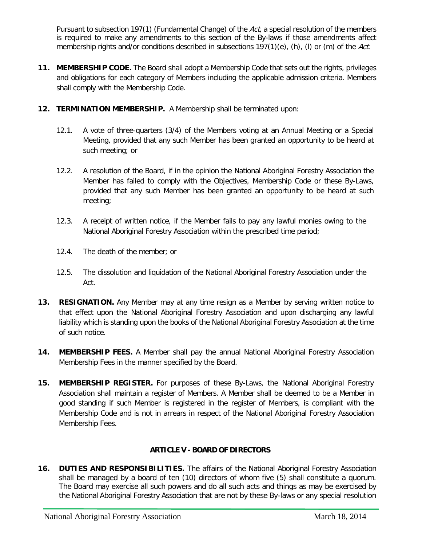Pursuant to subsection 197(1) (Fundamental Change) of the Act, a special resolution of the members is required to make any amendments to this section of the By-laws if those amendments affect membership rights and/or conditions described in subsections  $197(1)(e)$ , (h), (l) or (m) of the Act.

- **11. MEMBERSHIP CODE.** The Board shall adopt a Membership Code that sets out the rights, privileges and obligations for each category of Members including the applicable admission criteria. Members shall comply with the Membership Code.
- **12. TERMINATION MEMBERSHIP.** A Membership shall be terminated upon:
	- 12.1. A vote of three-quarters (3/4) of the Members voting at an Annual Meeting or a Special Meeting, provided that any such Member has been granted an opportunity to be heard at such meeting; or
	- 12.2. A resolution of the Board, if in the opinion the National Aboriginal Forestry Association the Member has failed to comply with the Objectives, Membership Code or these By-Laws, provided that any such Member has been granted an opportunity to be heard at such meeting;
	- 12.3. A receipt of written notice, if the Member fails to pay any lawful monies owing to the National Aboriginal Forestry Association within the prescribed time period;
	- 12.4. The death of the member; or
	- 12.5. The dissolution and liquidation of the National Aboriginal Forestry Association under the Act.
- **13. RESIGNATION.** Any Member may at any time resign as a Member by serving written notice to that effect upon the National Aboriginal Forestry Association and upon discharging any lawful liability which is standing upon the books of the National Aboriginal Forestry Association at the time of such notice.
- **14. MEMBERSHIP FEES.** A Member shall pay the annual National Aboriginal Forestry Association Membership Fees in the manner specified by the Board.
- **15. MEMBERSHIP REGISTER.** For purposes of these By-Laws, the National Aboriginal Forestry Association shall maintain a register of Members. A Member shall be deemed to be a Member in good standing if such Member is registered in the register of Members, is compliant with the Membership Code and is not in arrears in respect of the National Aboriginal Forestry Association Membership Fees.

# **ARTICLE V - BOARD OF DIRECTORS**

**16. DUTIES AND RESPONSIBILITIES.** The affairs of the National Aboriginal Forestry Association shall be managed by a board of ten (10) directors of whom five (5) shall constitute a quorum. The Board may exercise all such powers and do all such acts and things as may be exercised by the National Aboriginal Forestry Association that are not by these By-laws or any special resolution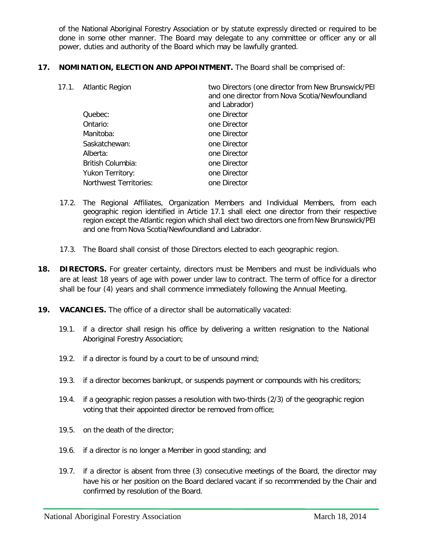of the National Aboriginal Forestry Association or by statute expressly directed or required to be done in some other manner. The Board may delegate to any committee or officer any or all power, duties and authority of the Board which may be lawfully granted.

### **17. NOMINATION, ELECTION AND APPOINTMENT.** The Board shall be comprised of:

| 17.1. | <b>Atlantic Region</b> | two Directors (one director from New Brunswick/PEI<br>and one director from Nova Scotia/Newfoundland<br>and Labrador) |
|-------|------------------------|-----------------------------------------------------------------------------------------------------------------------|
|       | Quebec:                | one Director                                                                                                          |
|       | Ontario:               | one Director                                                                                                          |
|       | Manitoba:              | one Director                                                                                                          |
|       | Saskatchewan:          | one Director                                                                                                          |
|       | Alberta:               | one Director                                                                                                          |
|       | British Columbia:      | one Director                                                                                                          |
|       | Yukon Territory:       | one Director                                                                                                          |
|       | Northwest Territories: | one Director                                                                                                          |

- 17.2. The Regional Affiliates, Organization Members and Individual Members, from each geographic region identified in Article 17.1 shall elect one director from their respective region except the Atlantic region which shall elect two directors one from New Brunswick/PEI and one from Nova Scotia/Newfoundland and Labrador.
- 17.3. The Board shall consist of those Directors elected to each geographic region.
- **18. DIRECTORS.** For greater certainty, directors must be Members and must be individuals who are at least 18 years of age with power under law to contract. The term of office for a director shall be four (4) years and shall commence immediately following the Annual Meeting.
- **19. VACANCIES.** The office of a director shall be automatically vacated:
	- 19.1. if a director shall resign his office by delivering a written resignation to the National Aboriginal Forestry Association;
	- 19.2. if a director is found by a court to be of unsound mind;
	- 19.3. if a director becomes bankrupt, or suspends payment or compounds with his creditors;
	- 19.4. if a geographic region passes a resolution with two-thirds (2/3) of the geographic region voting that their appointed director be removed from office;
	- 19.5. on the death of the director;
	- 19.6. if a director is no longer a Member in good standing; and
	- 19.7. if a director is absent from three (3) consecutive meetings of the Board, the director may have his or her position on the Board declared vacant if so recommended by the Chair and confirmed by resolution of the Board.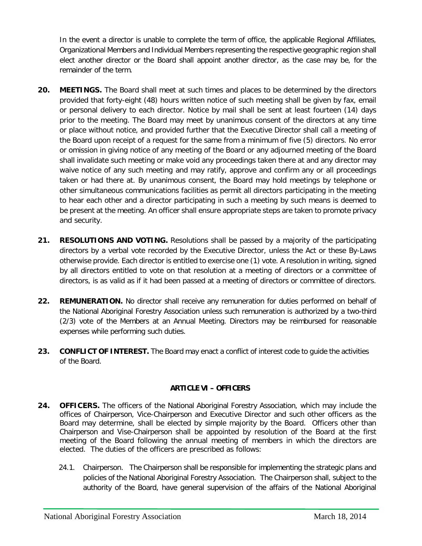In the event a director is unable to complete the term of office, the applicable Regional Affiliates, Organizational Members and Individual Members representing the respective geographic region shall elect another director or the Board shall appoint another director, as the case may be, for the remainder of the term.

- **20. MEETINGS.** The Board shall meet at such times and places to be determined by the directors provided that forty-eight (48) hours written notice of such meeting shall be given by fax, email or personal delivery to each director. Notice by mail shall be sent at least fourteen (14) days prior to the meeting. The Board may meet by unanimous consent of the directors at any time or place without notice, and provided further that the Executive Director shall call a meeting of the Board upon receipt of a request for the same from a minimum of five (5) directors. No error or omission in giving notice of any meeting of the Board or any adjourned meeting of the Board shall invalidate such meeting or make void any proceedings taken there at and any director may waive notice of any such meeting and may ratify, approve and confirm any or all proceedings taken or had there at. By unanimous consent, the Board may hold meetings by telephone or other simultaneous communications facilities as permit all directors participating in the meeting to hear each other and a director participating in such a meeting by such means is deemed to be present at the meeting. An officer shall ensure appropriate steps are taken to promote privacy and security.
- **21. RESOLUTIONS AND VOTING.** Resolutions shall be passed by a majority of the participating directors by a verbal vote recorded by the Executive Director, unless the Act or these By-Laws otherwise provide. Each director is entitled to exercise one (1) vote. A resolution in writing, signed by all directors entitled to vote on that resolution at a meeting of directors or a committee of directors, is as valid as if it had been passed at a meeting of directors or committee of directors.
- **22. REMUNERATION.** No director shall receive any remuneration for duties performed on behalf of the National Aboriginal Forestry Association unless such remuneration is authorized by a two-third (2/3) vote of the Members at an Annual Meeting. Directors may be reimbursed for reasonable expenses while performing such duties.
- **23. CONFLICT OF INTEREST.** The Board may enact a conflict of interest code to guide the activities of the Board.

## **ARTICLE VI – OFFICERS**

- **24. OFFICERS.** The officers of the National Aboriginal Forestry Association, which may include the offices of Chairperson, Vice-Chairperson and Executive Director and such other officers as the Board may determine, shall be elected by simple majority by the Board. Officers other than Chairperson and Vise-Chairperson shall be appointed by resolution of the Board at the first meeting of the Board following the annual meeting of members in which the directors are elected. The duties of the officers are prescribed as follows:
	- 24.1. Chairperson. The Chairperson shall be responsible for implementing the strategic plans and policies of the National Aboriginal Forestry Association. The Chairperson shall, subject to the authority of the Board, have general supervision of the affairs of the National Aboriginal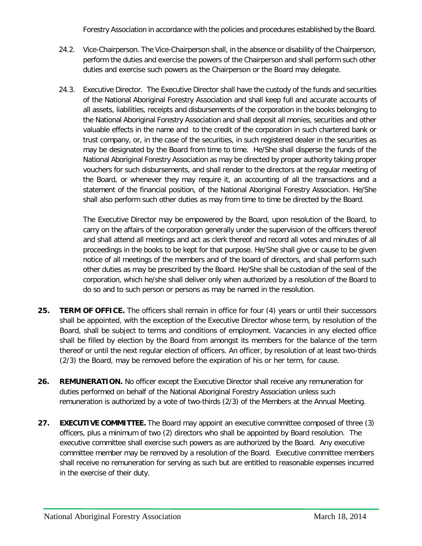Forestry Association in accordance with the policies and procedures established by the Board.

- 24.2. Vice-Chairperson. The Vice-Chairperson shall, in the absence or disability of the Chairperson, perform the duties and exercise the powers of the Chairperson and shall perform such other duties and exercise such powers as the Chairperson or the Board may delegate.
- 24.3. Executive Director. The Executive Director shall have the custody of the funds and securities of the National Aboriginal Forestry Association and shall keep full and accurate accounts of all assets, liabilities, receipts and disbursements of the corporation in the books belonging to the National Aboriginal Forestry Association and shall deposit all monies, securities and other valuable effects in the name and to the credit of the corporation in such chartered bank or trust company, or, in the case of the securities, in such registered dealer in the securities as may be designated by the Board from time to time. He/She shall disperse the funds of the National Aboriginal Forestry Association as may be directed by proper authority taking proper vouchers for such disbursements, and shall render to the directors at the regular meeting of the Board, or whenever they may require it, an accounting of all the transactions and a statement of the financial position, of the National Aboriginal Forestry Association. He/She shall also perform such other duties as may from time to time be directed by the Board.

The Executive Director may be empowered by the Board, upon resolution of the Board, to carry on the affairs of the corporation generally under the supervision of the officers thereof and shall attend all meetings and act as clerk thereof and record all votes and minutes of all proceedings in the books to be kept for that purpose. He/She shall give or cause to be given notice of all meetings of the members and of the board of directors, and shall perform such other duties as may be prescribed by the Board. He/She shall be custodian of the seal of the corporation, which he/she shall deliver only when authorized by a resolution of the Board to do so and to such person or persons as may be named in the resolution.

- **25. TERM OF OFFICE.** The officers shall remain in office for four (4) years or until their successors shall be appointed, with the exception of the Executive Director whose term, by resolution of the Board, shall be subject to terms and conditions of employment. Vacancies in any elected office shall be filled by election by the Board from amongst its members for the balance of the term thereof or until the next regular election of officers. An officer, by resolution of at least two-thirds (2/3) the Board, may be removed before the expiration of his or her term, for cause.
- **26. REMUNERATION.** No officer except the Executive Director shall receive any remuneration for duties performed on behalf of the National Aboriginal Forestry Association unless such remuneration is authorized by a vote of two-thirds (2/3) of the Members at the Annual Meeting.
- **27. EXECUTIVE COMMITTEE.** The Board may appoint an executive committee composed of three (3) officers, plus a minimum of two (2) directors who shall be appointed by Board resolution. The executive committee shall exercise such powers as are authorized by the Board. Any executive committee member may be removed by a resolution of the Board. Executive committee members shall receive no remuneration for serving as such but are entitled to reasonable expenses incurred in the exercise of their duty.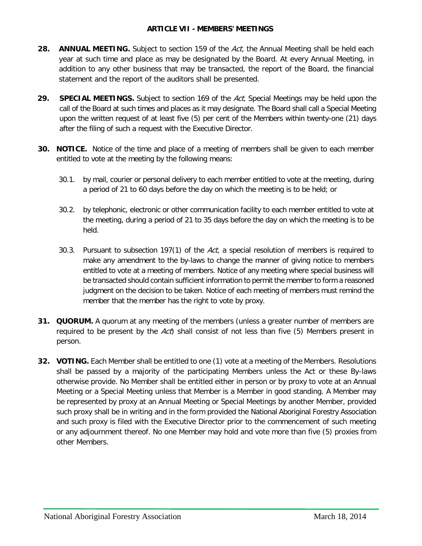#### **ARTICLE VII - MEMBERS' MEETINGS**

- 28. ANNUAL MEETING. Subject to section 159 of the Act, the Annual Meeting shall be held each year at such time and place as may be designated by the Board. At every Annual Meeting, in addition to any other business that may be transacted, the report of the Board, the financial statement and the report of the auditors shall be presented.
- **29. SPECIAL MEETINGS.** Subject to section 169 of the Act, Special Meetings may be held upon the call of the Board at such times and places as it may designate. The Board shall call a Special Meeting upon the written request of at least five (5) per cent of the Members within twenty-one (21) days after the filing of such a request with the Executive Director.
- **30. NOTICE.** Notice of the time and place of a meeting of members shall be given to each member entitled to vote at the meeting by the following means:
	- 30.1. by mail, courier or personal delivery to each member entitled to vote at the meeting, during a period of 21 to 60 days before the day on which the meeting is to be held; or
	- 30.2. by telephonic, electronic or other communication facility to each member entitled to vote at the meeting, during a period of 21 to 35 days before the day on which the meeting is to be held.
	- 30.3. Pursuant to subsection 197(1) of the  $Act$ , a special resolution of members is required to make any amendment to the by-laws to change the manner of giving notice to members entitled to vote at a meeting of members. Notice of any meeting where special business will be transacted should contain sufficient information to permit the member to form a reasoned judgment on the decision to be taken. Notice of each meeting of members must remind the member that the member has the right to vote by proxy.
- **31. QUORUM.** A quorum at any meeting of the members (unless a greater number of members are required to be present by the  $\text{Act}$  shall consist of not less than five (5) Members present in person.
- **32. VOTING.** Each Member shall be entitled to one (1) vote at a meeting of the Members. Resolutions shall be passed by a majority of the participating Members unless the Act or these By-laws otherwise provide. No Member shall be entitled either in person or by proxy to vote at an Annual Meeting or a Special Meeting unless that Member is a Member in good standing. A Member may be represented by proxy at an Annual Meeting or Special Meetings by another Member, provided such proxy shall be in writing and in the form provided the National Aboriginal Forestry Association and such proxy is filed with the Executive Director prior to the commencement of such meeting or any adjournment thereof. No one Member may hold and vote more than five (5) proxies from other Members.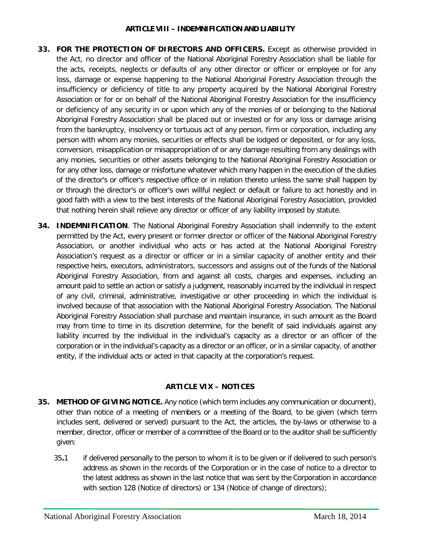#### **ARTICLE VIII – INDEMNIFICATION AND LIABILITY**

- **33. FOR THE PROTECTION OF DIRECTORS AND OFFICERS.** Except as otherwise provided in the Act, no director and officer of the National Aboriginal Forestry Association shall be liable for the acts, receipts, neglects or defaults of any other director or officer or employee or for any loss, damage or expense happening to the National Aboriginal Forestry Association through the insufficiency or deficiency of title to any property acquired by the National Aboriginal Forestry Association or for or on behalf of the National Aboriginal Forestry Association for the insufficiency or deficiency of any security in or upon which any of the monies of or belonging to the National Aboriginal Forestry Association shall be placed out or invested or for any loss or damage arising from the bankruptcy, insolvency or tortuous act of any person, firm or corporation, including any person with whom any monies, securities or effects shall be lodged or deposited, or for any loss, conversion, misapplication or misappropriation of or any damage resulting from any dealings with any monies, securities or other assets belonging to the National Aboriginal Forestry Association or for any other loss, damage or misfortune whatever which many happen in the execution of the duties of the director's or officer's respective office or in relation thereto unless the same shall happen by or through the director's or officer's own willful neglect or default or failure to act honestly and in good faith with a view to the best interests of the National Aboriginal Forestry Association, provided that nothing herein shall relieve any director or officer of any liability imposed by statute.
- **34. INDEMNIFICATION**. The National Aboriginal Forestry Association shall indemnify to the extent permitted by the Act, every present or former director or officer of the National Aboriginal Forestry Association, or another individual who acts or has acted at the National Aboriginal Forestry Association's request as a director or officer or in a similar capacity of another entity and their respective heirs, executors, administrators, successors and assigns out of the funds of the National Aboriginal Forestry Association, from and against all costs, charges and expenses, including an amount paid to settle an action or satisfy a judgment, reasonably incurred by the individual in respect of any civil, criminal, administrative, investigative or other proceeding in which the individual is involved because of that association with the National Aboriginal Forestry Association. The National Aboriginal Forestry Association shall purchase and maintain insurance, in such amount as the Board may from time to time in its discretion determine, for the benefit of said individuals against any liability incurred by the individual in the individual's capacity as a director or an officer of the corporation or in the individual's capacity as a director or an officer, or in a similar capacity, of another entity, if the individual acts or acted in that capacity at the corporation's request.

## **ARTICLE VIX – NOTICES**

- **35. METHOD OF GIVING NOTICE.** Any notice (which term includes any communication or document), other than notice of a meeting of members or a meeting of the Board, to be given (which term includes sent, delivered or served) pursuant to the Act, the articles, the by-laws or otherwise to a member, director, officer or member of a committee of the Board or to the auditor shall be sufficiently given:
	- 35**.**1 if delivered personally to the person to whom it is to be given or if delivered to such person's address as shown in the records of the Corporation or in the case of notice to a director to the latest address as shown in the last notice that was sent by the Corporation in accordance with section 128 (Notice of directors) or 134 (Notice of change of directors);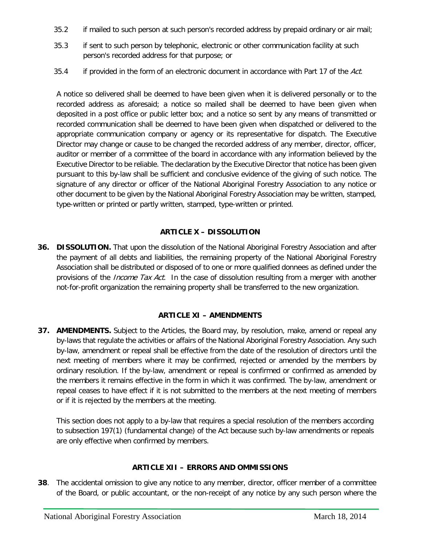- 35.2 if mailed to such person at such person's recorded address by prepaid ordinary or air mail;
- 35.3 if sent to such person by telephonic, electronic or other communication facility at such person's recorded address for that purpose; or
- 35.4 if provided in the form of an electronic document in accordance with Part 17 of the Act.

A notice so delivered shall be deemed to have been given when it is delivered personally or to the recorded address as aforesaid; a notice so mailed shall be deemed to have been given when deposited in a post office or public letter box; and a notice so sent by any means of transmitted or recorded communication shall be deemed to have been given when dispatched or delivered to the appropriate communication company or agency or its representative for dispatch. The Executive Director may change or cause to be changed the recorded address of any member, director, officer, auditor or member of a committee of the board in accordance with any information believed by the Executive Director to be reliable. The declaration by the Executive Director that notice has been given pursuant to this by-law shall be sufficient and conclusive evidence of the giving of such notice. The signature of any director or officer of the National Aboriginal Forestry Association to any notice or other document to be given by the National Aboriginal Forestry Association may be written, stamped, type-written or printed or partly written, stamped, type-written or printed.

### **ARTICLE X – DISSOLUTION**

**36. DISSOLUTION.** That upon the dissolution of the National Aboriginal Forestry Association and after the payment of all debts and liabilities, the remaining property of the National Aboriginal Forestry Association shall be distributed or disposed of to one or more qualified donnees as defined under the provisions of the *Income Tax Act*. In the case of dissolution resulting from a merger with another not-for-profit organization the remaining property shall be transferred to the new organization.

### **ARTICLE XI – AMENDMENTS**

**37. AMENDMENTS.** Subject to the Articles, the Board may, by resolution, make, amend or repeal any by-laws that regulate the activities or affairs of the National Aboriginal Forestry Association. Any such by-law, amendment or repeal shall be effective from the date of the resolution of directors until the next meeting of members where it may be confirmed, rejected or amended by the members by ordinary resolution. If the by-law, amendment or repeal is confirmed or confirmed as amended by the members it remains effective in the form in which it was confirmed. The by-law, amendment or repeal ceases to have effect if it is not submitted to the members at the next meeting of members or if it is rejected by the members at the meeting.

This section does not apply to a by-law that requires a special resolution of the members according to subsection 197(1) (fundamental change) of the Act because such by-law amendments or repeals are only effective when confirmed by members.

### **ARTICLE XII – ERRORS AND OMMISSIONS**

**38**. The accidental omission to give any notice to any member, director, officer member of a committee of the Board, or public accountant, or the non-receipt of any notice by any such person where the